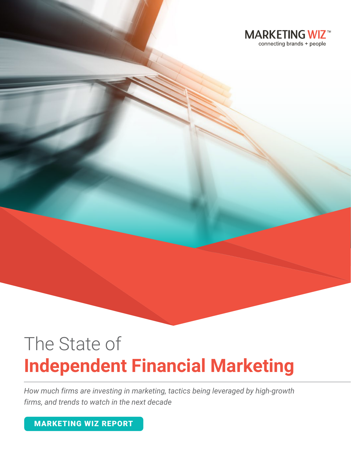

# The State of **Independent Financial Marketing**

*How much firms are investing in marketing, tactics being leveraged by high-growth firms, and trends to watch in the next decade*

MARKETING WIZ REPORT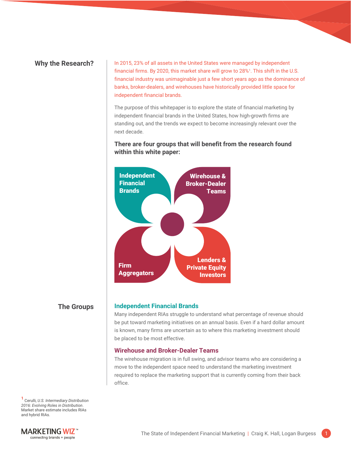Why the Research? | In 2015, 23% of all assets in the United States were managed by independent financial firms. By 2020, this market share will grow to 28%<sup>1</sup>. This shift in the U.S. financial industry was unimaginable just a few short years ago as the dominance of banks, broker-dealers, and wirehouses have historically provided little space for independent financial brands.

> The purpose of this whitepaper is to explore the state of financial marketing by independent financial brands in the United States, how high-growth firms are standing out, and the trends we expect to become increasingly relevant over the next decade.

# **There are four groups that will benefit from the research found within this white paper:**



# **The Groups**

#### **Independent Financial Brands**

Many independent RIAs struggle to understand what percentage of revenue should be put toward marketing initiatives on an annual basis. Even if a hard dollar amount is known, many firms are uncertain as to where this marketing investment should be placed to be most effective.

# **Wirehouse and Broker-Dealer Teams**

The wirehouse migration is in full swing, and advisor teams who are considering a move to the independent space need to understand the marketing investment required to replace the marketing support that is currently coming from their back office.

**<sup>1</sup>**Cerulli, *U.S. Intermediary Distribution 2016: Evolving Roles in Distribution*. Market share estimate includes RIAs and hybrid RIAs.

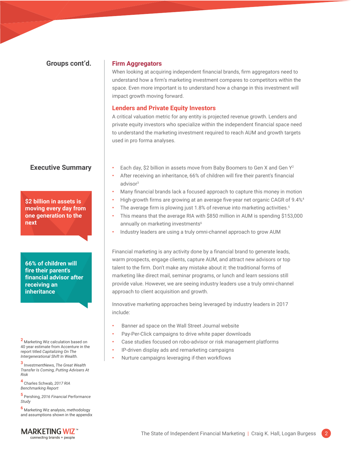# **Groups cont'd.**

# **Firm Aggregators**

When looking at acquiring independent financial brands, firm aggregators need to understand how a firm's marketing investment compares to competitors within the space. Even more important is to understand how a change in this investment will impact growth moving forward.

# **Lenders and Private Equity Investors**

A critical valuation metric for any entity is projected revenue growth. Lenders and private equity investors who specialize within the independent financial space need to understand the marketing investment required to reach AUM and growth targets used in pro forma analyses.

# **Executive Summary**

**\$2 billion in assets is moving every day from one generation to the next**

**66% of children will fire their parent's financial advisor after receiving an inheritance**

**<sup>2</sup>**Marketing Wiz calculation based on 40 year estimate from Accenture in the report titled *Capitalizing On The Intergenerational Shift In Wealth.*

**<sup>3</sup>**InvestmentNews, *The Great Wealth Transfer Is Coming, Putting Advisers At Risk*

**<sup>4</sup>**Charles Schwab, *2017 RIA Benchmarking Report*

**<sup>5</sup>**Pershing, *2016 Financial Performance Study*

**<sup>6</sup>**Marketing Wiz analysis, methodology and assumptions shown in the appendix

- Each day, \$2 billion in assets move from Baby Boomers to Gen X and Gen Y2 **•**
- After receiving an inheritance, 66% of children will fire their parent's financial advisor3 **•**
- Many financial brands lack a focused approach to capture this money in motion **•**
- High-growth firms are growing at an average five-year net organic CAGR of 9.4%4 **•**
- The average firm is plowing just 1.8% of revenue into marketing activities.<sup>5</sup> **•**
- This means that the average RIA with \$850 million in AUM is spending \$153,000 annually on marketing investments<sup>6</sup> **•**
- Industry leaders are using a truly omni-channel approach to grow AUM **•**

Financial marketing is any activity done by a financial brand to generate leads, warm prospects, engage clients, capture AUM, and attract new advisors or top talent to the firm. Don't make any mistake about it: the traditional forms of marketing like direct mail, seminar programs, or lunch and learn sessions still provide value. However, we are seeing industry leaders use a truly omni-channel approach to client acquisition and growth.

Innovative marketing approaches being leveraged by industry leaders in 2017 include:

- **•** Banner ad space on the Wall Street Journal website
- **•** Pay-Per-Click campaigns to drive white paper downloads
- **•** Case studies focused on robo-advisor or risk management platforms
- **•** IP-driven display ads and remarketing campaigns
- **•** Nurture campaigns leveraging if-then workflows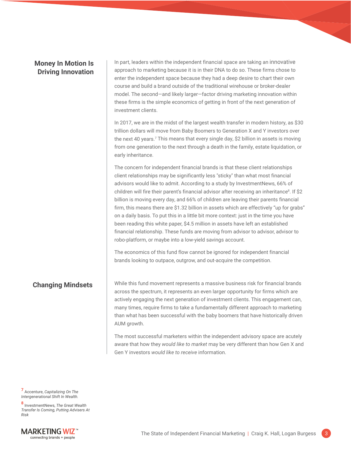# **Money In Motion Is Driving Innovation**

In part, leaders within the independent financial space are taking an innovative approach to marketing because it is in their DNA to do so. These firms chose to enter the independent space because they had a deep desire to chart their own course and build a brand outside of the traditional wirehouse or broker-dealer model. The second—and likely larger—factor driving marketing innovation within these firms is the simple economics of getting in front of the next generation of investment clients.

In 2017, we are in the midst of the largest wealth transfer in modern history, as \$30 trillion dollars will move from Baby Boomers to Generation X and Y investors over the next 40 years.<sup>7</sup> This means that every single day, \$2 billion in assets is moving from one generation to the next through a death in the family, estate liquidation, or early inheritance.

The concern for independent financial brands is that these client relationships client relationships may be significantly less "sticky" than what most financial advisors would like to admit. According to a study by InvestmentNews, 66% of children will fire their parent's financial advisor after receiving an inheritance<sup>8</sup>. If \$2 billion is moving every day, and 66% of children are leaving their parents financial firm, this means there are \$1.32 billion in assets which are effectively "up for grabs" on a daily basis. To put this in a little bit more context: just in the time you have been reading this white paper, \$4.5 million in assets have left an established financial relationship. These funds are moving from advisor to advisor, advisor to robo-platform, or maybe into a low-yield savings account.

The economics of this fund flow cannot be ignored for independent financial brands looking to outpace, outgrow, and out-acquire the competition.

# **Changing Mindsets**

While this fund movement represents a massive business risk for financial brands across the spectrum, it represents an even larger opportunity for firms which are actively engaging the next generation of investment clients. This engagement can, many times, require firms to take a fundamentally different approach to marketing than what has been successful with the baby boomers that have historically driven AUM growth.

The most successful marketers within the independent advisory space are acutely aware that how they *would like to market* may be very different than how Gen X and Gen Y investors *would like to receive* information.

**<sup>7</sup>** Accenture, *Capitalizing On The Intergenerational Shift In Wealth.*

**<sup>8</sup>**InvestmentNews, *The Great Wealth Transfer Is Coming, Putting Advisers At Risk*

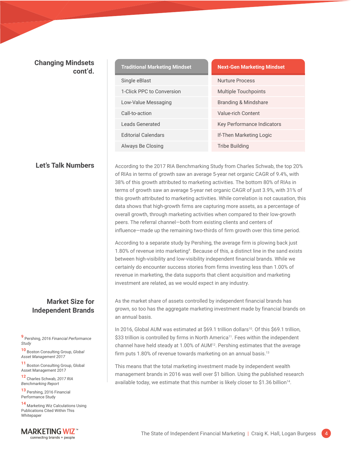# **Changing Mindsets cont'd.**

| <b>Traditional Marketing Mindset</b> | <b>Next-Gen Marketing Mindset</b> |
|--------------------------------------|-----------------------------------|
| Single eBlast                        | <b>Nurture Process</b>            |
| 1-Click PPC to Conversion            | Multiple Touchpoints              |
| Low-Value Messaging                  | Branding & Mindshare              |
| Call-to-action                       | Value-rich Content                |
| Leads Generated                      | <b>Key Performance Indicators</b> |
| <b>Editorial Calendars</b>           | If-Then Marketing Logic           |
| Always Be Closing                    | Tribe Building                    |

**Let's Talk Numbers**  $\vert$  According to the 2017 RIA Benchmarking Study from Charles Schwab, the top 20% of RIAs in terms of growth saw an average 5-year net organic CAGR of 9.4%, with 38% of this growth attributed to marketing activities. The bottom 80% of RIAs in terms of growth saw an average 5-year net organic CAGR of just 3.9%, with 31% of this growth attributed to marketing activities. While correlation is not causation, this data shows that high-growth firms are capturing more assets, as a percentage of overall growth, through marketing activities when compared to their low-growth peers. The referral channel—both from existing clients and centers of influence—made up the remaining two-thirds of firm growth over this time period.

> According to a separate study by Pershing, the average firm is plowing back just 1.80% of revenue into marketing<sup>9</sup>. Because of this, a distinct line in the sand exists between high-visibility and low-visibility independent financial brands. While we certainly do encounter success stories from firms investing less than 1.00% of revenue in marketing, the data supports that client acquisition and marketing investment are related, as we would expect in any industry.

As the market share of assets controlled by independent financial brands has grown, so too has the aggregate marketing investment made by financial brands on an annual basis.

In 2016, Global AUM was estimated at \$69.1 trillion dollars<sup>10</sup>. Of this \$69.1 trillion, \$33 trillion is controlled by firms in North America<sup>11</sup>. Fees within the independent channel have held steady at 1.00% of AUM12. Pershing estimates that the average firm puts 1.80% of revenue towards marketing on an annual basis.<sup>13</sup>

This means that the total marketing investment made by independent wealth management brands in 2016 was well over \$1 billion. Using the published research available today, we estimate that this number is likely closer to \$1.36 billion<sup>14</sup>.

# **Market Size for Independent Brands**

**<sup>9</sup>**Pershing, *2016 Financial Performance Study*

**<sup>10</sup>**Boston Consulting Group, *Global Asset Management 2017*

**11** Boston Consulting Group, Global Asset Management 2017

**<sup>12</sup>**Charles Schwab, *2017 RIA Benchmarking Report*

13 Pershing, 2016 Financial Performance Study

**14** Marketing Wiz Calculations Using Publications Cited Within This Whitepaper

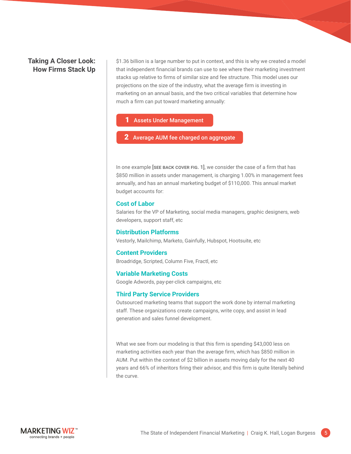# **Taking A Closer Look: How Firms Stack Up**

\$1.36 billion is a large number to put in context, and this is why we created a model that independent financial brands can use to see where their marketing investment stacks up relative to firms of similar size and fee structure. This model uses our projections on the size of the industry, what the average firm is investing in marketing on an annual basis, and the two critical variables that determine how much a firm can put toward marketing annually:

#### **Assets Under Management**

**2** Average AUM fee charged on aggregate

In one example [SEE BACK COVER FIG. 1], we consider the case of a firm that has \$850 million in assets under management, is charging 1.00% in management fees annually, and has an annual marketing budget of \$110,000. This annual market budget accounts for:

#### **Cost of Labor**

Salaries for the VP of Marketing, social media managers, graphic designers, web developers, support staff, etc

# **Distribution Platforms**

Vestorly, Mailchimp, Marketo, Gainfully, Hubspot, Hootsuite, etc

# **Content Providers**

Broadridge, Scripted, Column Five, Fractl, etc

#### **Variable Marketing Costs**

Google Adwords, pay-per-click campaigns, etc

#### **Third Party Service Providers**

Outsourced marketing teams that support the work done by internal marketing staff. These organizations create campaigns, write copy, and assist in lead generation and sales funnel development.

What we see from our modeling is that this firm is spending \$43,000 less on marketing activities each year than the average firm, which has \$850 million in AUM. Put within the context of \$2 billion in assets moving daily for the next 40 years and 66% of inheritors firing their advisor, and this firm is quite literally behind the curve.

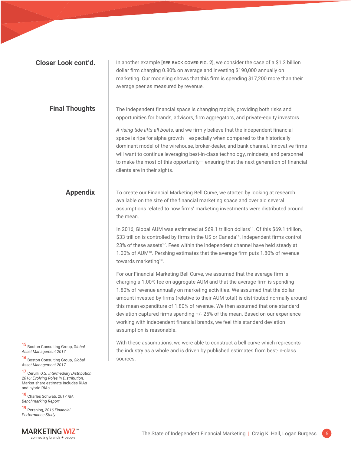| <b>Closer Look cont'd.</b>                                                                                                                     | In another example [SEE BACK COVER FIG. 2], we consider the case of a \$1.2 billion<br>dollar firm charging 0.80% on average and investing \$190,000 annually on<br>marketing. Our modeling shows that this firm is spending \$17,200 more than their<br>average peer as measured by revenue.                                                                                                                                                                                                                                                                                                                     |
|------------------------------------------------------------------------------------------------------------------------------------------------|-------------------------------------------------------------------------------------------------------------------------------------------------------------------------------------------------------------------------------------------------------------------------------------------------------------------------------------------------------------------------------------------------------------------------------------------------------------------------------------------------------------------------------------------------------------------------------------------------------------------|
| <b>Final Thoughts</b>                                                                                                                          | The independent financial space is changing rapidly, providing both risks and<br>opportunities for brands, advisors, firm aggregators, and private-equity investors.                                                                                                                                                                                                                                                                                                                                                                                                                                              |
|                                                                                                                                                | A rising tide lifts all boats, and we firmly believe that the independent financial<br>space is ripe for alpha growth- especially when compared to the historically<br>dominant model of the wirehouse, broker-dealer, and bank channel. Innovative firms<br>will want to continue leveraging best-in-class technology, mindsets, and personnel<br>to make the most of this opportunity- ensuring that the next generation of financial<br>clients are in their sights.                                                                                                                                           |
| <b>Appendix</b>                                                                                                                                | To create our Financial Marketing Bell Curve, we started by looking at research<br>available on the size of the financial marketing space and overlaid several<br>assumptions related to how firms' marketing investments were distributed around<br>the mean.                                                                                                                                                                                                                                                                                                                                                    |
|                                                                                                                                                | In 2016, Global AUM was estimated at \$69.1 trillion dollars <sup>15</sup> . Of this \$69.1 trillion,<br>\$33 trillion is controlled by firms in the US or Canada <sup>16</sup> . Independent firms control<br>23% of these assets <sup>17</sup> . Fees within the independent channel have held steady at<br>1.00% of AUM <sup>18</sup> . Pershing estimates that the average firm puts 1.80% of revenue<br>towards marketing <sup>19</sup> .                                                                                                                                                                    |
|                                                                                                                                                | For our Financial Marketing Bell Curve, we assumed that the average firm is<br>charging a 1.00% fee on aggregate AUM and that the average firm is spending<br>1.80% of revenue annually on marketing activities. We assumed that the dollar<br>amount invested by firms (relative to their AUM total) is distributed normally around<br>this mean expenditure of 1.80% of revenue. We then assumed that one standard<br>deviation captured firms spending +/- 25% of the mean. Based on our experience<br>working with independent financial brands, we feel this standard deviation<br>assumption is reasonable. |
| 15 Boston Consulting Group, Global<br>Asset Management 2017<br>16 Boston Consulting Group, Global<br>Asset Management 2017                     | With these assumptions, we were able to construct a bell curve which represents<br>the industry as a whole and is driven by published estimates from best-in-class<br>sources.                                                                                                                                                                                                                                                                                                                                                                                                                                    |
| 17 Cerulli, U.S. Intermediary Distribution<br>2016: Evolving Roles in Distribution.<br>Market share estimate includes RIAs<br>and hybrid RIAs. |                                                                                                                                                                                                                                                                                                                                                                                                                                                                                                                                                                                                                   |
| 18 Charles Schwab, 2017 RIA<br><b>Benchmarking Report</b>                                                                                      |                                                                                                                                                                                                                                                                                                                                                                                                                                                                                                                                                                                                                   |
| 19 Pershing, 2016 Financial<br>Performance Study                                                                                               |                                                                                                                                                                                                                                                                                                                                                                                                                                                                                                                                                                                                                   |